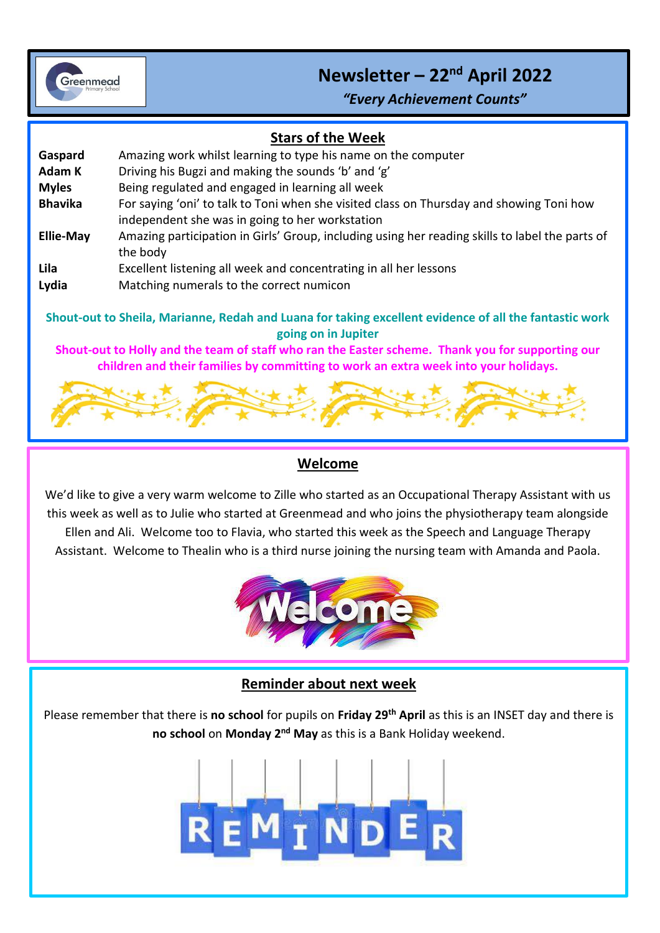

# **Newsletter – 22nd April 2022**

*"Every Achievement Counts"*

#### **Stars of the Week**

i<br>I

| Gaspard                                                                                                | Amazing work whilst learning to type his name on the computer                                                                               |
|--------------------------------------------------------------------------------------------------------|---------------------------------------------------------------------------------------------------------------------------------------------|
| Adam K                                                                                                 | Driving his Bugzi and making the sounds 'b' and 'g'                                                                                         |
| <b>Myles</b>                                                                                           | Being regulated and engaged in learning all week                                                                                            |
| <b>Bhavika</b>                                                                                         | For saying 'oni' to talk to Toni when she visited class on Thursday and showing Toni how<br>independent she was in going to her workstation |
| <b>Ellie-May</b>                                                                                       | Amazing participation in Girls' Group, including using her reading skills to label the parts of<br>the body                                 |
| Lila                                                                                                   | Excellent listening all week and concentrating in all her lessons                                                                           |
| Lydia                                                                                                  | Matching numerals to the correct numicon                                                                                                    |
| Shout-out to Sheila, Marianne, Redah and Luana for taking excellent evidence of all the fantastic work |                                                                                                                                             |

**going on in Jupiter Shout-out to Holly and the team of staff who ran the Easter scheme. Thank you for supporting our** 

**children and their families by committing to work an extra week into your holidays.**



#### **Welcome**

We'd like to give a very warm welcome to Zille who started as an Occupational Therapy Assistant with us this week as well as to Julie who started at Greenmead and who joins the physiotherapy team alongside Ellen and Ali. Welcome too to Flavia, who started this week as the Speech and Language Therapy Assistant. Welcome to Thealin who is a third nurse joining the nursing team with Amanda and Paola.



# **Reminder about next week**

Please remember that there is **no school** for pupils on **Friday 29th April** as this is an INSET day and there is **no school** on **Monday 2nd May** as this is a Bank Holiday weekend.

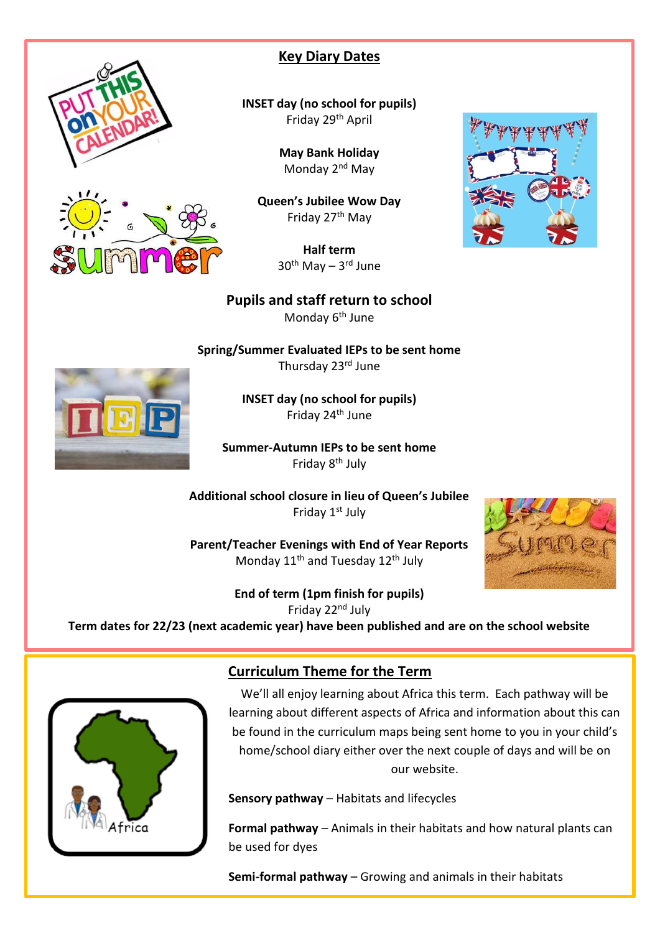



# **Key Diary Dates**

**INSET day (no school for pupils)** Friday 29th April

> **May Bank Holiday** Monday 2<sup>nd</sup> May

**Queen's Jubilee Wow Day** Friday 27<sup>th</sup> May

> **Half term** 30<sup>th</sup> May – 3<sup>rd</sup> June

### **Pupils and staff return to school**

Monday 6<sup>th</sup> June

**Spring/Summer Evaluated IEPs to be sent home** Thursday 23rd June

> **INSET day (no school for pupils)** Friday 24th June

**Summer-Autumn IEPs to be sent home** Friday 8th July

**Additional school closure in lieu of Queen's Jubilee** Friday 1<sup>st</sup> July

**Parent/Teacher Evenings with End of Year Reports** Monday 11<sup>th</sup> and Tuesday 12<sup>th</sup> July



**End of term (1pm finish for pupils)** Friday 22nd July **Term dates for 22/23 (next academic year) have been published and are on the school website**



## **Curriculum Theme for the Term**

We'll all enjoy learning about Africa this term. Each pathway will be learning about different aspects of Africa and information about this can be found in the curriculum maps being sent home to you in your child's home/school diary either over the next couple of days and will be on our website.

**Sensory pathway** – Habitats and lifecycles

**Formal pathway** – Animals in their habitats and how natural plants can be used for dyes

**Semi-formal pathway** – Growing and animals in their habitats